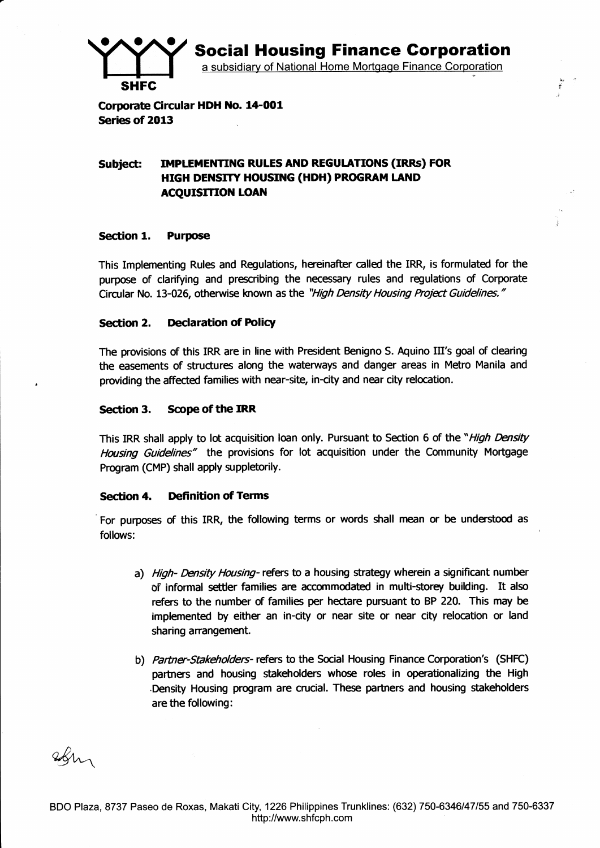**Social Housing Finance Corporation** 

a subsidiary of National Home Mortgage Finance Corporation

ir: p

Corporate Circular HDH No. 14-001 Series of 2013

#### Subiect: IMPLEMENTING RULES AND REGULATIONS (IRRs) FOR HIGH DENSITY HOUSING (HDH) PROGRAM LAND **ACQUISITION LOAN**

#### Section 1. Purpose

**SHFC** 

This Implementing Rules and Regulations, hereinafter called the IRR, is formulated for the purpose of clarifying and prescribing the necessary rules and regulations of Corporate Circular No. 13-026, otherwise known as the "High Density Housing Project Guidelines."

## Section 2. Declaration of Policy

The provisions of this IRR are in line with President Benigno S. Aquino III's goal of clearing the easements of structures along the waterways and danger areas in Metro Manila and providing the affected families with near-site, in-city and near city relocation.

## Section 3. Scope of the IRR

This IRR shall apply to lot acquisition loan only. Pursuant to Section 6 of the "High Density Housing Guidelines" the provisions for lot acquisition under the Community Mortgage Program (CMP) shall apply zuppletorily.

### Section 4. Definition of Terms

For purposes of this IRR, the following terms or words shall mean or be understood as follovs:

- a) High- Density Housing- refers to a housing strategy wherein a significant number of informal settler families are accommodated in multi-storey building. It also refers to the number of families per hectare pursuant to BP 220. This may be implemented by either an in-city or near site or near city relocation or land sharing arangement.
- b) Partner-Stakeholders- refers to the Social Housing Finance Corporation's (SHFC) partners and housing stakeholders whose roles in operationalizing the High Density Housing program are crucial. These partners and housing stakeholders are the following:

Ibn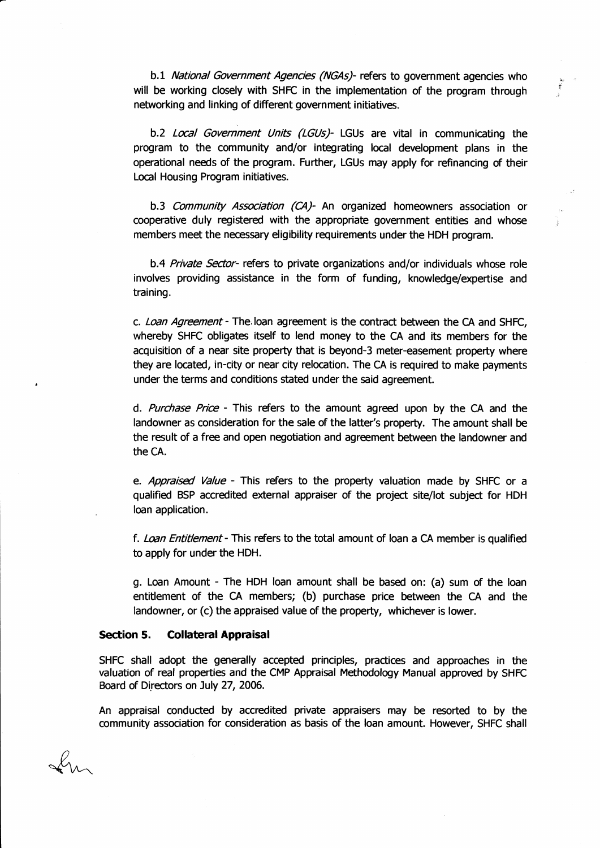b.1 National Government Agencies (NGAs)- refers to government agencies who will be working closely with SHFC in the implementation of the program through networking and linking of different government initiatives.

b.2 Local Government Units (LGUs)- LGUs are vital in communicating the program to the community and/or integrating local development plans in the operational needs of the program. Further, LGUs may apply for refinancing of their Local Housing Program initiatives.

b.3 Community Association (CA)- An organized homeowners association or cooperative duly registered with the appropriate government entities and whose members meet the necessary eligibility requirements under the HDH program.

b.4 Private Sector- refers to private organizations and/or individuals whose role involves providing assistance in the form of funding, knowledge/expertise and training.

c. Loan Agreement - The loan agreement is the contract between the CA and SHFC, whereby SHFC obligates itself to lend money to the CA and its members for the acquisition of a near site property that is beyond-3 meter-easement property where they are located, in-city or near city relocation. The CA is required to make payments under the terms and conditions stated under the said agreement.

d. Purchase Price - This refers to the amount agreed upon by the CA and the landowner as consideration for the sale of the latter's property. The amount shall be the result of a free and open negotiation and agreement between the landowner and the cA.

e. Appraised Value - This refers to the property valuation made by SHFC or a qualified BSP accredited external appraiser of the project site/lot subject for HDH loan apdication.

f. Loan Entitlement - This refers to the total amount of loan a CA member is qualified to apply for under the HDH.

g. Loan Amount - The HDH loan amount shall be based on: (a) sum of the loan entitlement of the CA members; (b) purchase price between the CA and the landowner, or (c) the appraised value of the property, whichever is lower.

#### Section 5. Collateral Appraisal

SHFC shall adopt the generally accepted principles, practices and approaches in the valuation of real properties and the CMP Appraisal Methodology Manual approved by SHFC Board of Directors on July 27, 2006.

An appraisal conducted by accredited private appraisers may be resorted to by the community association for consideration as basis of the loan amount. However, SHFC shall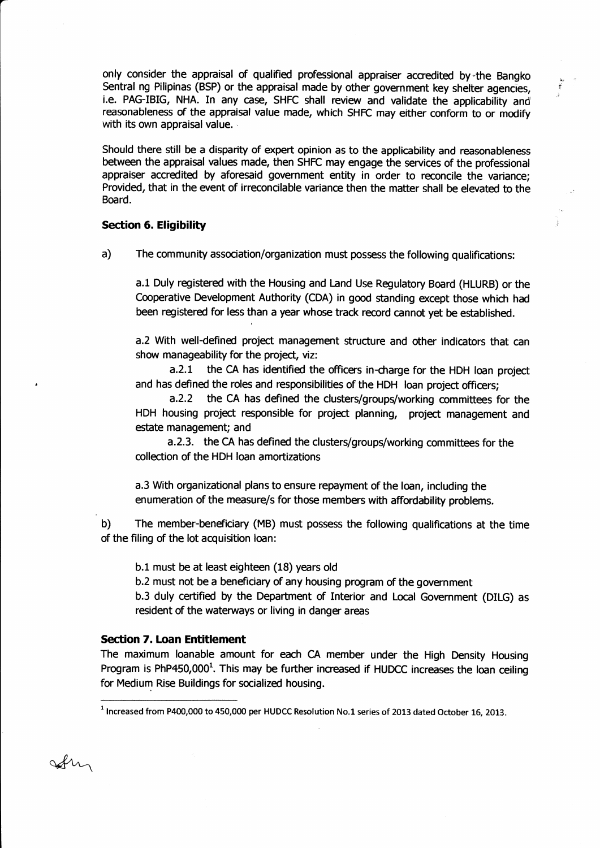only consider the appraisal of qualified professional appraiser accredited by the Bangko Sentral ng Pilipinas (BSP) or the appraisal made by other government key shelter agencies, i.e. PAG-IBIG, NHA. In any case, SHFC shall review and validate the applicability and reasonableness of the appraisal value made, which SHFC may either conform to or modify with its own appraisal value.

,i

Should there still be a disparity of expert opinion as to the applicability and reasonableness between the appraisal values made, then SHFC may engage the services of the professional appraiser accredited by aforesaid government entity in order to reconcile the variance; Provided, that in the event of irreconcilable variance then the matter shall be elevated to the Board.

### Section 6. Eligibility

a) The community association/organization must possess the following qualifications:

a.l Duly registered with the Housing and Land Use Regulatory Board (HLURB) or the Cooperative Development Authority (CDA) in good standing except those which had been registered for less than a year whose track record cannot yet be established.

a.2 With well-defined project management structure and other indicators that can show manageability for the project, viz:

a.2.1 the CA has identified the officers in-charge for the HDH loan project and has defined the roles and responsibilities of the HDH loan project officers;

a.2.2 the CA has defined the clusters/groups/working ommittees for the HDH housing project responsible for project planning, project management and estate management; and

a.2.3. the CA has defined the clusters/groups/working committees for the ollection of the HDH loan amortizations

a.3 Wth organizational plans to ensure repayment of the loan, including the enumeration of the measure/s for those members with affordability problems.

b) The member-beneficiary (MB) must possess the following qualifications at the time of the filing of the lot acquisition loan:

b.l must be at least eighteen (18) years old

b.2 must not be a beneficiary of any housing program of the government

b.3 duly certified by the Department of Interior and Local Government (DILG) as resident of the waterways or living in danger areas

### Section 7. Loan Entitlement

 $44$ 

The maximum loanable amount for each CA member under the High Density Housing Program is PhP450,000<sup>1</sup>. This may be further increased if HUDCC increases the loan ceiling for Medium Rise Buildings for socialized housing.

 $<sup>1</sup>$  Increased from P400,000 to 450,000 per HUDCC Resolution No.1 series of 2013 dated October 16, 2013.</sup>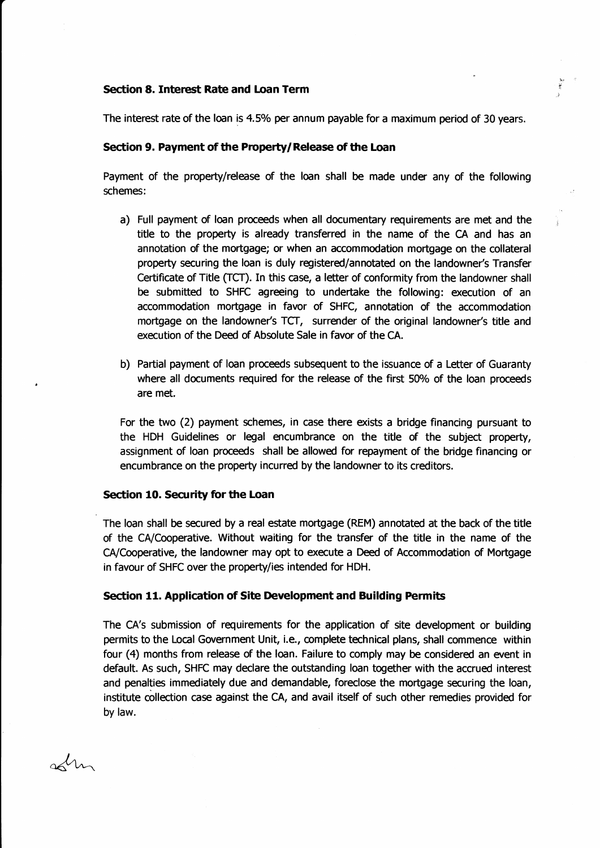### Section 8. Interest Rate and Loan Term

The interest rate of the loan is 4.5% per annum payable for a maximum period of 30 years.

,i )

#### Section 9. Payment of the Property/Release of the Loan

Payment of the property/release of the loan shall be made under any of the following schemes:

- a) Full payment of loan proceeds when all documentary requirements are met and the title to the property is already transferred in the name of the CA and has an annotation of the mortgage; or when an accommodation mortgage on the collateral property securing the loan is duly registered/annotated on the landowner's Transfer Certificate of Title (TCT). In this case, a letter of conformity from the landowner shall be submitted to SHFC agreeing to undertake the following: execution of an accommodation mofigage in faror of SHFC, annotation of the accommodation mortgage on the landowner's TCT, surrender of the original landowner's title and execution of the Deed of Absolute Sale in favor of the CA.
- b) Partial payment of loan proceeds subsequent to the issuance of a Letter of Guaranty where all documents required for the release of the first 50% of the loan proceeds are met,

For the two (2) payment schemes, in case there exists a bridge financing pursuant to the HDH Guidelines or legal encumbrance on the title of the subject property, assignment of loan proceds shall be allowed for repayment of the bridge financing or encumbrance on the property incurred by the landowner to its creditors.

### Section 10. Security for the Loan

The loan shall be secured by a real estate mortgage (REM) annotated at the back of the title of the CA/Cooperative. Without waiting for the transfer of the title in the name of the CA/Cooperative, the Iandowner may opt to execute a Deed of Accommodation of Mortgage in favour of SHFC over the property/ies intended for HDH.

#### Section 11. Application of Site Development and Building Permits

The CA's submission of requirements for the application of site development or building permits to the Local Government Unit, i.e., complete technical plans, shall commence within four (4) months from release of the loan. Failure to comply may be considered an event in defautt. As such, SHFC may declare the outstanding loan together with the accrued interest and penalties immediately due and demandable, foreclose the mortgage securing the loan, institute collection case against the CA, and avail itself of such other remedies provided for by law.

 $\lambda$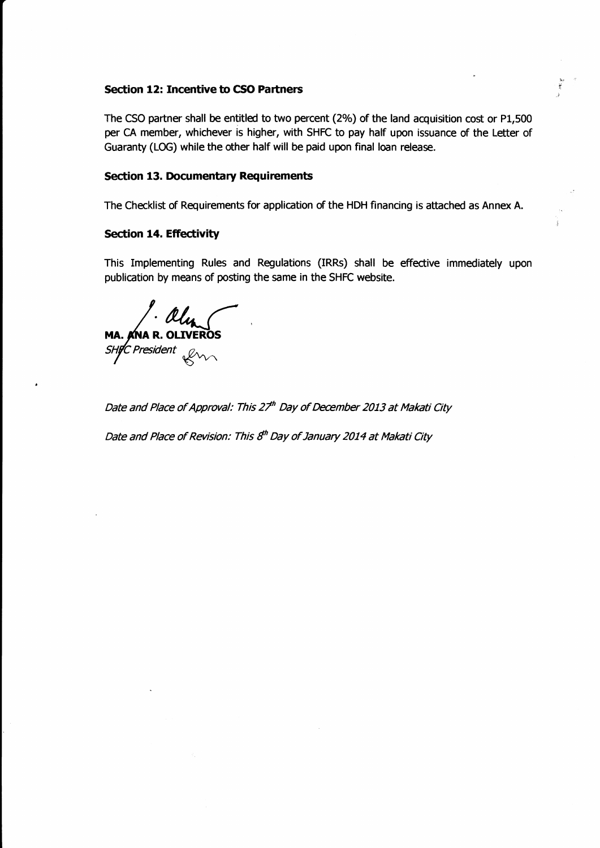### Section 12: Incentive to CSO Partners

The CSO partner shall be entitled to two percent (2%) of the land acquisition cost or P1,500 per CA member, whichever is higher, with SHFC to pay half upon issuance of the Letter of Guaranty (LOG) while the dher half will be paid upon final loan release.

 $\overrightarrow{x}$ 

### Section 13. Documentary Requirements

The Checklist of Requirements for application of the HDH financing is attached as Annex A.

### Section 14. Effectivity

This Implementing Rules and Regulations (IRRS) shall be effective immediately upon publication by means of posting the same in the SHFC website.

MA. ANA R. OLIVEROS tf praident €tn^

Date and Place of Approval: This 27<sup>th</sup> Day of December 2013 at Makati City

Date and Place of Revision: This 8<sup>th</sup> Day of January 2014 at Makati City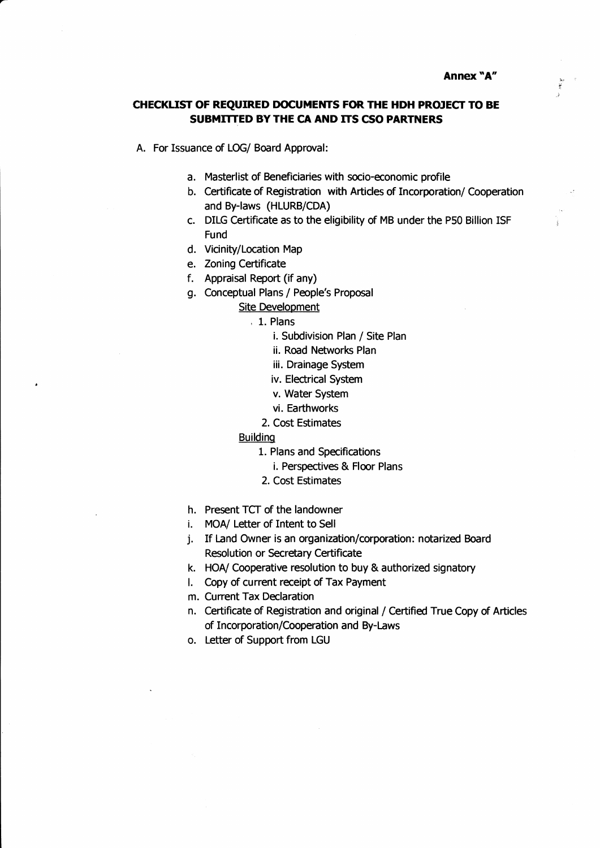# CHECKLIST OF REQUIRED DOCUMENTS FOR THE HDH PROJECT TO BE SUBMITTED BY THE CA AND ITS CSO PARTNERS

A. For Issuance of LOG/ Board Approval:

- a. Masterlist of Beneficiaries with socio-economic profile
- b. Certificate of Registration with Articles of Incorporation/ Cooperation and By-laws (HLURB/CDA)<br>c. DILG Certificate as to the eligibility of MB under the P50 Billion ISF
- Fund
- d. Vicinity/Location Map
- e. Zoning Certificate
- f. Appraisal Report (if any)
- g. Conceptual Plans / People's Proposal
	- Site Development
		- , 1. Plans
			- i. Subdivision Plan / Site Plan
			- ii. Road Networks Plan
			- iii. Drainage System
			- iv. Electrical System
			- v. Water System
			- vi. Earthworks
			- 2. Cost Estimates
	- Buildinq
		- 1. Plans and Specifications
			- i. Perspectives & Floor Plans
		- 2. Cost Estimates
- h. Present TCT of the landowner
- i. MOA/ Letter of Intent to Sell
- j. If Land Owner is an organization/corporation: notarized Board Resolution or Secretary Certificate
- k. HOA/ Cooperative resolution to buy & authorized signatory
- l. Copy of current receipt of Tax Payment
- m. Curent Tax Declaration
- n. Certificate of Registration and original / Certified True Copy of Articles of Incorporation/Cooperation and By-Laws
- o. Letter of Support from LGU